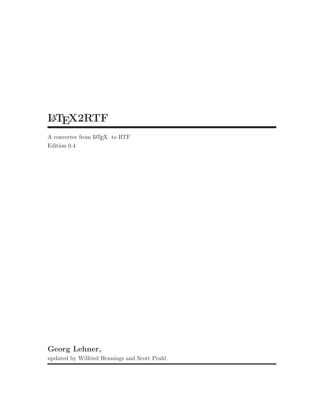# <sup>L</sup>aTEX2RTF

A converter from LaTEX to RTF Edition 0.4

Georg Lehner, updated by Wilfried Hennings and Scott Prahl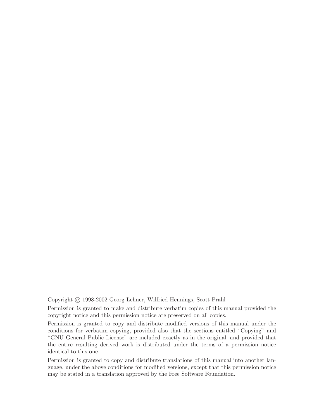Copyright (c) 1998-2002 Georg Lehner, Wilfried Hennings, Scott Prahl

Permission is granted to make and distribute verbatim copies of this manual provided the copyright notice and this permission notice are preserved on all copies.

Permission is granted to copy and distribute modified versions of this manual under the conditions for verbatim copying, provided also that the sections entitled "Copying" and "GNU General Public License" are included exactly as in the original, and provided that the entire resulting derived work is distributed under the terms of a permission notice identical to this one.

Permission is granted to copy and distribute translations of this manual into another language, under the above conditions for modified versions, except that this permission notice may be stated in a translation approved by the Free Software Foundation.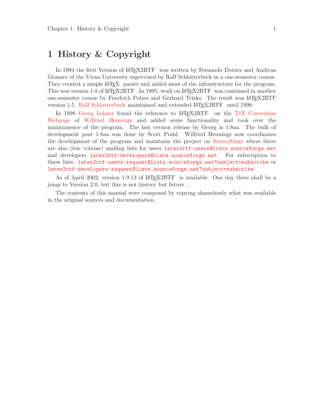## <span id="page-2-0"></span>1 History & Copyright

In 1994 the first Version of LAT<sub>EX2</sub>RTF was written by Fernando Dorner and Andreas Granzer of the Viena University supervised by Ralf Schlatterbeck in a one-semester course. They created a simple LAT<sub>EX</sub> parser and added most of the infrastructure for the program. This was version 1.0 of  $\text{LipX2RTF}$ . In 1995, work on  $\text{LipX2RTF}$  was continued in another one-semester course by Friedrich Polzer and Gerhard Trisko. The result was LAT<sub>EX2RTF</sub> version 1.5. [Ralf Schlatterbeck](mailto:ralf@zoo.priv.at) maintained and extended LAT<sub>E</sub>X2RTF until 1998.

In 1998 [Georg Lehner](mailto:jorge_lehner@gmx.net) found the reference to LAT<sub>E</sub>X2RTF on the [TeX Conversion](http://tug.org/utilities/texconv/index.html) [Webpage](http://tug.org/utilities/texconv/index.html) of [Wilfried Hennings](mailto:W.Hennings@fz-juelich.de) and added some functionality and took over the maintainence of the program. The last version release by Georg is 1.8aa. The bulk of development post 1.8aa was done by Scott Prahl. Wilfried Hennings now coordinates the development of the program and maintains the project on [SourceForge](http://sourceforge.net/projects/latex2rtf/) where there are also (low volume) mailing lists for users [latex2rtf-users@lists.sourceforge.net](mailto:latex2rtf-users@lists.sourceforge.net) and developers [latex2rtf-developers@lists.sourceforge.net](mailto:latex2rtf-developers@lists.sourceforge.net). For subscription to these lists: [latex2rtf-users-request@lists.sourceforge.net?subject=subscribe](mailto:latex2rtf-users-request@lists.sourceforge.net?subject=subscribe) or [latex2rtf-developers-request@lists.sourceforge.net?subject=subscribe](mailto:latex2rtf-developers-request@lists.sourceforge.net?subject=subscribe)

As of April 2002, version 1.9.13 of LAT<sub>EX2</sub>RTF is available. One day there shall be a jump to Version 2.0, but this is not history but future ...

The contents of this manual were composed by copying shamelessly what was available in the original sources and documentation.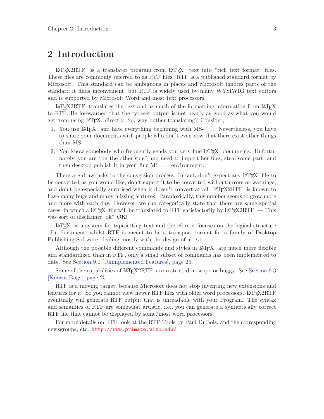## <span id="page-4-0"></span>2 Introduction

<sup>L</sup>aTEX2RTF is a translator program from LaTEX text into "rich text format" files. These files are commonly referred to as RTF files. RTF is a published standard format by Microsoft. This standard can be ambiguous in places and Microsoft ignores parts of the standard it finds inconvenient, but RTF is widely used by many WYSIWIG text editors and is supported by Microsoft Word and most text processors.

 $\text{LipX2RTF}$  translates the text and as much of the formatting information from  $\text{LipX}$ to RTF. Be forewarned that the typeset output is not nearly as good as what you would get from using LAT<sub>EX</sub> directly. So, why bother translating? Consider,

- 1. You use LAT<sub>EX</sub> and hate everything beginning with MS-.... Nevertheless, you have to share your documents with people who don't even now that there exist other things than  $MS$ -....
- 2. You know somebody who frequently sends you very fine LAT<sub>EX</sub> documents. Unfortunately, you are "on the other side" and need to import her files, steal some part, and then desktop publish it in your fine MS-. . . environment.

There are drawbacks to the conversion process. In fact, don't expect any LAT<sub>E</sub>X file to be converted as you would like, don't expect it to be converted without errors or warnings, and don't be especially surprised when it doesn't convert at all. LAT<sub>EX2</sub>RTF is known to have many bugs and many missing features. Paradoxically, this number seems to grow more and more with each day. However, we can categorically state that there are some special cases, in which a LAT<sub>EX</sub> file will be translated to RTF satisfactorily by LAT<sub>E</sub>X2RTF — This was sort of disclaimer, ok? OK!

<sup>L</sup>aTEX is a system for typesetting text and therefore it focuses on the logical structure of a document, whilst RTF is meant to be a transport format for a family of Desktop Publishing Software, dealing mostly with the design of a text.

Although the possible different commands and styles in  $\mathbb{A}T\mathbb{R}X$  are much more flexible and standardized than in RTF, only a small subset of commands has been implemented to date. See [Section 9.1 \[Unimplemented Features\], page 25.](#page-26-0)

Some of the capabilities of LAT<sub>EX2</sub>RTF are restricted in scope or buggy. See [Section 9.3](#page-26-1) [\[Known Bugs\], page 25.](#page-26-1)

RTF is a moving target, because Microsoft does not stop inventing new extensions and features for it. So you cannot view newer RTF files with older word processors. LAT<sub>E</sub>X2RTF eventually will generate RTF output that is unreadable with your Program. The syntax and semantics of RTF are somewhat artistic, i.e., you can generate a syntactically correct RTF file that cannot be displayed by some/most word processors.

For more details on RTF look at the RTF-Tools by Paul DuBois, and the corresponding newsgroups, etc. <http://www.primate.wisc.edu/>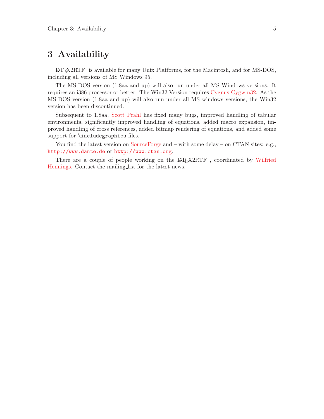## <span id="page-6-1"></span>3 Availability

<span id="page-6-0"></span><sup>L</sup>aTEX2RTF is available for many Unix Platforms, for the Macintosh, and for MS-DOS, including all versions of MS Windows 95.

The MS-DOS version (1.8aa and up) will also run under all MS Windows versions. It requires an i386 processor or better. The Win32 Version requires [Cygnus-Cygwin32.](http://sources.redhat.com/cygwin/) As the MS-DOS version (1.8aa and up) will also run under all MS windows versions, the Win32 version has been discontinued.

Subsequent to 1.8aa, [Scott Prahl](mailto:prahl@ece.ogi.edu) has fixed many bugs, improved handling of tabular environments, significantly improved handling of equations, added macro expansion, improved handling of cross references, added bitmap rendering of equations, and added some support for **\includegraphics** files.

You find the latest version on [SourceForge](http://sourceforge.net/projects/latex2rtf/) and – with some delay – on CTAN sites: e.g., <http://www.dante.de> or <http://www.ctan.org>.

There are a couple of people working on the LAT<sub>E</sub>X2RTF, coordinated by [Wilfried](mailto:W.Hennings@fz-juelich.de) [Hennings](mailto:W.Hennings@fz-juelich.de). Contact the mailing list for the latest news.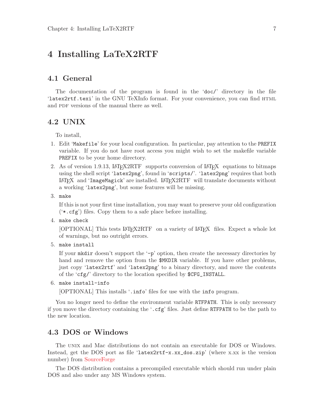## <span id="page-8-0"></span>4 Installing LaTeX2RTF

#### 4.1 General

The documentation of the program is found in the 'doc/' directory in the file 'latex2rtf.texi' in the GNU TeXInfo format. For your convenience, you can find html and PDF versions of the manual there as well.

#### 4.2 UNIX

To install,

- 1. Edit 'Makefile' for your local configuration. In particular, pay attention to the PREFIX variable. If you do not have root access you might wish to set the makefile variable PREFIX to be your home directory.
- 2. As of version 1.9.13, LAT<sub>E</sub>X2RTF supports conversion of LAT<sub>E</sub>X equations to bitmaps using the shell script 'latex2png', found in 'scripts/'. 'latex2png' requires that both LAT<sub>EX</sub> and 'ImageMagick' are installed. LAT<sub>E</sub>X2RTF will translate documents without a working 'latex2png', but some features will be missing.
- 3. make

If this is not your first time installation, you may want to preserve your old configuration ('\*.cfg') files. Copy them to a safe place before installing.

4. make check

[OPTIONAL] This tests LAT<sub>E</sub>X2RTF on a variety of LAT<sub>E</sub>X files. Expect a whole lot of warnings, but no outright errors.

5. make install

If your morth doesn't support the  $\div p'$  option, then create the necessary directories by hand and remove the option from the  $MKDIR$  variable. If you have other problems, just copy 'latex2rtf' and 'latex2png' to a binary directory, and move the contents of the 'cfg/' directory to the location specified by \$CFG\_INSTALL.

```
6. make install-info
```
[OPTIONAL] This installs '.info' files for use with the info program.

You no longer need to define the environment variable RTFPATH. This is only necessary if you move the directory containing the '.cfg' files. Just define RTFPATH to be the path to the new location.

#### 4.3 DOS or Windows

The unix and Mac distributions do not contain an executable for DOS or Windows. Instead, get the DOS port as file 'latex2rtf-x.xx\_dos.zip' (where x.xx is the version number) from [SourceForge](http://sourceforge.net/projects/latex2rtf/)

The DOS distribution contains a precompiled executable which should run under plain DOS and also under any MS Windows system.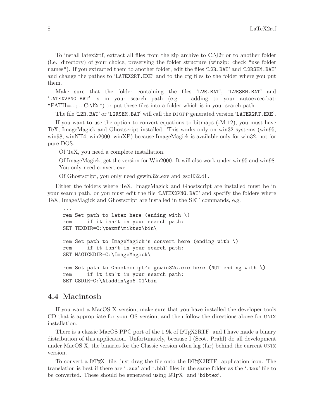<span id="page-9-0"></span>To install latex2rtf, extract all files from the zip archive to C:\l2r or to another folder (i.e. directory) of your choice, preserving the folder structure (winzip: check "use folder names"). If you extracted them to another folder, edit the files 'L2R.BAT' and 'L2RSEM.BAT' and change the pathes to 'LATEX2RT.EXE' and to the cfg files to the folder where you put them.

Make sure that the folder containing the files 'L2R.BAT', 'L2RSEM.BAT' and 'LATEX2PNG.BAT' is in your search path (e.g. adding to your autoexcec.bat: "PATH=...;...;C:\l2r") or put these files into a folder which is in your search path.

The file 'L2R.BAT' or 'L2RSEM.BAT' will call the djgpp generated version 'LATEX2RT.EXE'.

If you want to use the option to convert equations to bitmaps (-M 12), you must have TeX, ImageMagick and Ghostscript installed. This works only on win32 systems (win95, win98, winNT4, win2000, winXP) because ImageMagick is available only for win32, not for pure DOS.

Of TeX, you need a complete installation.

Of ImageMagick, get the version for Win2000. It will also work under win95 and win98. You only need convert.exe.

Of Ghostscript, you only need gswin32c.exe and gsdll32.dll.

Either the folders where TeX, ImageMagick and Ghostscript are installed must be in your search path, or you must edit the file 'LATEX2PNG.BAT' and specify the folders where TeX, ImageMagick and Ghostscript are installed in the SET commands, e.g.

```
...
rem Set path to latex here (ending with \)
rem if it isn't in your search path:
SET TEXDIR=C:\texmf\miktex\bin\
rem Set path to ImageMagick's convert here (ending with \)
rem if it isn't in your search path:
SET MAGICKDIR=C:\ImageMagick\
rem Set path to Ghostscript's gswin32c.exe here (NOT ending with \)
rem if it isn't in your search path:
SET GSDIR=C:\Aladdin\gs6.01\bin
```
#### 4.4 Macintosh

If you want a MacOS X version, make sure that you have installed the developer tools CD that is appropriate for your OS version, and then follow the directions above for unix installation.

There is a classic MacOS PPC port of the  $1.9k$  of LAT<sub>E</sub>X2RTF and I have made a binary distribution of this application. Unfortunately, because I (Scott Prahl) do all development under MacOS X, the binaries for the Classic version often lag (far) behind the current unix version.

To convert a LAT<sub>EX</sub> file, just drag the file onto the LAT<sub>E</sub>X2RTF application icon. The translation is best if there are '.aux' and '.bbl' files in the same folder as the '.tex' file to be converted. These should be generated using LAT<sub>E</sub>X and 'bibtex'.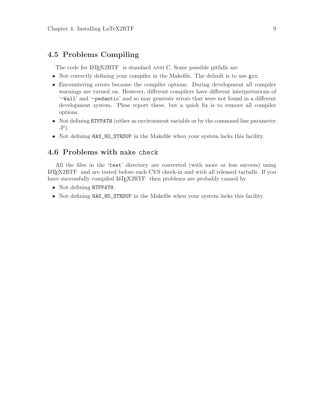### <span id="page-10-0"></span>4.5 Problems Compiling

The code for LAT<sub>E</sub>X2RTF is standard ANSI C. Some possible pitfalls are

- Not correctly defining your compiler in the Makefile. The default is to use gcc.
- Encountering errors because the compiler options. During development all compiler warnings are turned on. However, different compilers have different interpretations of '-Wall' and '-pedantic' and so may generate errors that were not found in a different development system. Plese report these, but a quick fix is to remove all compiler options.
- Not defining RTFPATH (either as environment variable or by the command line parameter -P).
- Not defining HAS\_NO\_STRDUP in the Makefile when your system lacks this facility.

### 4.6 Problems with make check

All the files in the 'test' directory are converted (with more or less success) using <sup>L</sup>aTEX2RTF and are tested before each CVS check-in and with all released tarballs. If you have successfully compiled LATEX2RTF then problems are probably caused by

- Not defining RTFPATH.
- Not defining HAS\_NO\_STRDUP in the Makefile when your system lacks this facility.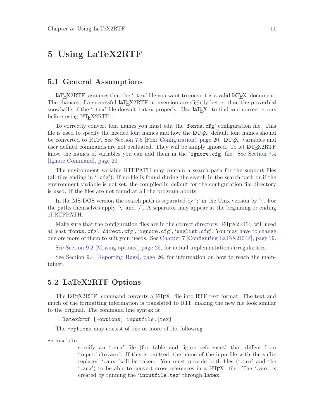## <span id="page-12-1"></span>5 Using LaTeX2RTF

#### 5.1 General Assumptions

LATEX2RTF assumes that the '.tex' file you want to convert is a valid LATEX document. The chances of a successful LAT<sub>EX2RTF</sub> conversion are slightly better than the proverbial snowball's if the  $\cdot$  tex' file doesn't latex properly. Use LAT<sub>E</sub>X to find and correct errors before using LAT<sub>E</sub>X2RTF.

To correctly convert font names you must edit the 'fonts.cfg' configuration file. This file is used to specify the needed font names and how the LAT<sub>EX</sub> default font names should be converted to RTF. See [Section 7.5 \[Font Configuration\], page 20](#page-21-0). LAT<sub>EX</sub> variables and user defined commands are not evaluated. They will be simply ignored. To let LATFX2RTF know the names of variables you can add them in the 'ignore.cfg' file. See [Section 7.4](#page-21-1) [\[Ignore Command\], page 20.](#page-21-1)

The environment variable RTFPATH may contain a search path for the support files (all files ending in  $\cdot$  cfg'). If no file is found during the search in the search-path or if the environment variable is not set, the compiled-in default for the configuration-file directory is used. If the files are not found at all the program aborts.

In the MS-DOS version the search path is separated by ';' in the Unix version by ':'. For the paths themselves apply '\' and '/'. A separator may appear at the beginning or ending of RTFPATH.

Make sure that the configuration files are in the correct directory. LAT<sub>EX2RTF</sub> will need at least 'fonts.cfg', 'direct.cfg', 'ignore.cfg', 'english.cfg'. You may have to change one ore more of them to suit your needs. See [Chapter 7 \[Configuring LaTeX2RTF\], page 19.](#page-20-0)

See [Section 9.2 \[Missing options\], page 25,](#page-26-2) for actual implementations irregularities.

See [Section 9.4 \[Reporting Bugs\], page 26](#page-27-0), for information on how to reach the maintainer.

#### 5.2 LaTeX2RTF Options

<span id="page-12-0"></span>The LAT<sub>E</sub>X2RTF command converts a LAT<sub>E</sub>X file into RTF text format. The text and much of the formatting information is translated to RTF making the new file look similar to the original. The command line syntax is:

```
latex2rtf [-options] inputfile.[tex]
```
The -options may consist of one or more of the following

-a auxfile

specify an '.aux' file (for table and figure references) that differs from 'inputfile.aux'. If this is omitted, the name of the inputfile with the suffix replaced '.aux''will be taken. You must provide both files ('.tex' and the '.aux') to be able to convert cross-references in a LAT<sub>E</sub>X file. The '.aux' is created by running the 'inputfile.tex' through latex.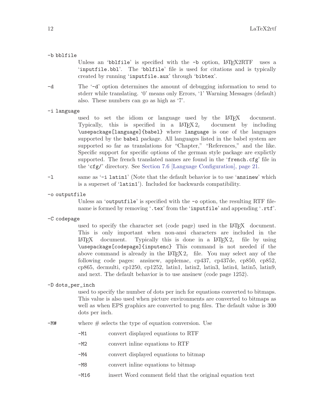#### -b bblfile

Unless an 'bblfile' is specified with the  $-b$  option,  $\mu$ FRX2RTF uses a 'inputfile.bbl'. The 'bblfile' file is used for citations and is typically created by running 'inputfile.aux' through 'bibtex'.

-d The '-d' option determines the amount of debugging information to send to stderr while translating. '0' means only Errors, '1' Warning Messages (default) also. These numbers can go as high as '7'.

#### -i language

used to set the idiom or language used by the  $\text{LATEX}$  document.<br>Typically, this is specified in a  $\text{LATEX2}_{\epsilon}$  document by including Typically, this is specified in a  $\text{LATEX} 2_{\epsilon}$ \usepackage[language]{babel} where language is one of the languages supported by the babel package. All languages listed in the babel system are supported so far as translations for "Chapter," "References," and the like. Specific support for specific options of the german style package are explictly supported. The french translated names are found in the 'french.cfg' file in the 'cfg/' directory. See [Section 7.6 \[Language Configuration\], page 21.](#page-22-0)

- -l same as '-i latin1' (Note that the default behavior is to use 'ansinew' which is a superset of 'latin1'). Included for backwards compatibility.
- -o outputfile

Unless an 'outputfile' is specified with the  $\sim$  option, the resulting RTF filename is formed by removing '.tex' from the 'inputfile' and appending '.rtf'.

-C codepage

used to specify the character set (code page) used in the LAT<sub>EX</sub> document. This is only important when non-ansi characters are included in the LATEX document. Typically this is done in a LATEX  $2\epsilon$  file by using \usepackage[codepage]{inputenc} This command is not needed if the above command is already in the LAT<sub>EX</sub>  $2\varepsilon$  file. You may select any of the following code pages: ansinew, applemac, cp437, cp437de, cp850, cp852, cp865, decmulti, cp1250, cp1252, latin1, latin2, latin3, latin4, latin5, latin9, and next. The default behavior is to use ansinew (code page 1252).

#### -D dots\_per\_inch

used to specify the number of dots per inch for equations converted to bitmaps. This value is also used when picture environments are converted to bitmaps as well as when EPS graphics are converted to png files. The default value is 300 dots per inch.

- -M# where # selects the type of equation conversion. Use
	- -M1 convert displayed equations to RTF
	- -M2 convert inline equations to RTF
	- -M4 convert displayed equations to bitmap
	- -M8 convert inline equations to bitmap
	- -M16 insert Word comment field that the original equation text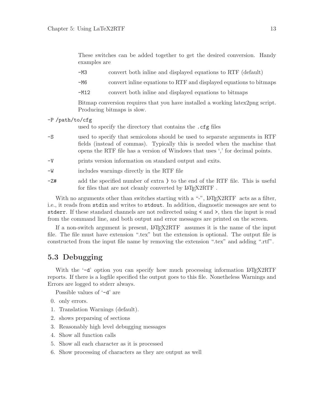<span id="page-14-0"></span>

|                | These switches can be added together to get the desired conversion. Handy<br>examples are |                                                                                                                                                                                                                                            |  |  |  |
|----------------|-------------------------------------------------------------------------------------------|--------------------------------------------------------------------------------------------------------------------------------------------------------------------------------------------------------------------------------------------|--|--|--|
|                | -мз                                                                                       | convert both inline and displayed equations to RTF (default)                                                                                                                                                                               |  |  |  |
|                | -M6                                                                                       | convert in line equations to RTF and displayed equations to bitmaps                                                                                                                                                                        |  |  |  |
|                | $-M12$                                                                                    | convert both inline and displayed equations to bitmaps                                                                                                                                                                                     |  |  |  |
|                |                                                                                           | Bitmap conversion requires that you have installed a working latex 2png script.<br>Producing bitmaps is slow.                                                                                                                              |  |  |  |
| -P/path/to/cfg |                                                                                           |                                                                                                                                                                                                                                            |  |  |  |
|                |                                                                                           | used to specify the directory that contains the . cfg files                                                                                                                                                                                |  |  |  |
| $-S$           |                                                                                           | used to specify that semicolons should be used to separate arguments in RTF<br>fields (instead of commas). Typically this is needed when the machine that<br>opens the RTF file has a version of Windows that uses ',' for decimal points. |  |  |  |
| $-V$           |                                                                                           | prints version information on standard output and exits.                                                                                                                                                                                   |  |  |  |
| -W             |                                                                                           | includes warnings directly in the RTF file                                                                                                                                                                                                 |  |  |  |
| -Z#            |                                                                                           | add the specified number of extra } to the end of the RTF file. This is useful<br>for files that are not cleanly converted by LAT <sub>F</sub> X2RTF.                                                                                      |  |  |  |
|                |                                                                                           |                                                                                                                                                                                                                                            |  |  |  |

With no arguments other than switches starting with a "-",  $\text{LATE}$  acts as a filter, i.e., it reads from stdin and writes to stdout. In addition, diagnostic messages are sent to stderr. If these standard channels are not redirected using < and >, then the input is read from the command line, and both output and error messages are printed on the screen.

If a non-switch argument is present, LAT<sub>EX2RTF</sub> assumes it is the name of the input file. The file must have extension ".tex" but the extension is optional. The output file is constructed from the input file name by removing the extension ".tex" and adding ".rtf".

### 5.3 Debugging

 $-P$ 

With the  $-d'$  option you can specify how much processing information LAT<sub>EX2</sub>RTF reports. If there is a logfile specified the output goes to this file. Nonetheless Warnings and Errors are logged to stderr always.

Possible values of '-d' are

- 0. only errors.
- 1. Translation Warnings (default).
- 2. shows preparsing of sections
- 3. Reasonably high level debugging messages
- 4. Show all function calls
- 5. Show all each character as it is processed
- 6. Show processing of characters as they are output as well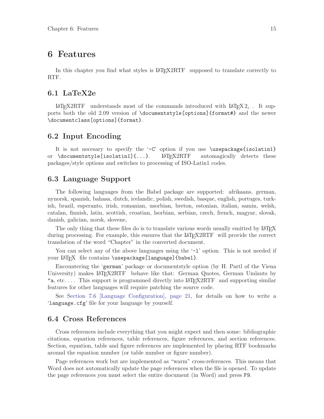## <span id="page-16-1"></span>6 Features

In this chapter you find what styles is LAT<sub>EX2RTF</sub> supposed to translate correctly to RTF.

#### 6.1 LaTeX2e

LATEX2RTF understands most of the commands introduced with  $\text{LATEX } 2_{\epsilon}$ . It supports both the old 2.09 version of \documentstyle[options]{format#} and the newer \documentclass[options]{format}.

#### 6.2 Input Encoding

<span id="page-16-0"></span>It is not necesary to specify the  $-C'$  option if you use  $\usepace{isolation1}$ or  $\downarrow$  documentstyle [isolatin1] $\{... \}$ . LAT<sub>F</sub>X2RTF automagically detects these packages/style options and switches to processing of ISO-Latin1 codes.

#### 6.3 Language Support

The following languages from the Babel package are supported: afrikaans, german, nynorsk, spanish, bahasa, dutch, icelandic, polish, swedish, basque, english, portuges, turkish, brazil, esperanto, irish, romanian, usorbian, breton, estonian, italian, samin, welsh, catalan, finnish, latin, scottish, croatian, lsorbian, serbian, czech, french, magyar, slovak, danish, galician, norsk, slovene,

The only thing that these files do is to translate various words usually emitted by LATEX during processing. For example, this ensures that the LAT<sub>E</sub>X2RTF will provide the correct translation of the word "Chapter" in the converted document.

You can select any of the above languages using the  $-1$  option. This is not needed if your LAT<sub>EX</sub> file contains \usepackage[language]{babel}.

Encountering the 'german' package or documentstyle option (by H. Partl of the Viena University) makes LATEX2RTF behave like that: German Quotes, German Umlauts by "a, etc.... This support is programmed directly into  $\text{LATE}$  and supporting similar features for other languages will require patching the source code.

See [Section 7.6 \[Language Configuration\], page 21](#page-22-0), for details on how to write a 'language.cfg' file for your language by yourself.

#### 6.4 Cross References

Cross references include everything that you might expect and then some: bibliographic citations, equation references, table references, figure references, and section references. Section, equation, table and figure references are implemented by placing RTF bookmarks around the equation number (or table number or figure number).

Page references work but are implemented as "warm" cross-references. This means that Word does not automatically update the page references when the file is opened. To update the page references you must select the entire document (in Word) and press F9.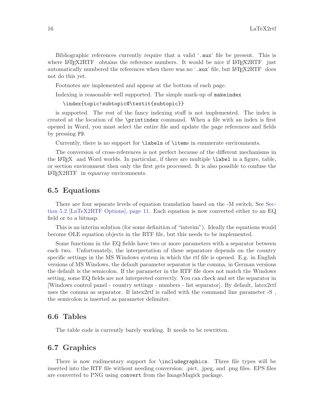<span id="page-17-0"></span>Bibliographic references currently require that a valid '.aux' file be present. This is where LAT<sub>EX2</sub>RTF obtains the reference numbers. It would be nice if LAT<sub>EX2</sub>RTF just automatically numbered the references when there was no  $\cdot$  aux' file, but LAT<sub>EX2RTF</sub> does not do this yet.

Footnotes are implemented and appear at the bottom of each page.

Indexing is reasonable well supported. The simple mark-up of makeindex

```
\index{topic!subtopic@\textit{subtopic}}
```
is supported. The rest of the fancy indexing stuff is not implemented. The index is created at the location of the \printindex command. When a file with an index is first opened in Word, you must select the entire file and update the page references and fields by pressing F9.

Currently, there is no support for \labels of \items in enumerate environments.

The conversion of cross-references is not perfect because of the different mechanisms in the LAT<sub>EX</sub> and Word worlds. In particular, if there are multiple  $\lambda$  abel in a figure, table, or section environment then only the first gets processed. It is also possible to confuse the LAT<sub>E</sub>X2RTF in equarray environments.

#### 6.5 Equations

There are four separate levels of equation translation based on the -M switch, See [Sec](#page-12-0)[tion 5.2 \[LaTeX2RTF Options\], page 11](#page-12-0). Each equation is now converted either to an EQ field or to a bitmap.

This is an interim solution (for some definition of "interim"). Ideally the equations would become OLE equation objects in the RTF file, but this needs to be implemented.

Some functions in the EQ fields have two or more parameters with a separator between each two. Unfortunately, the interpretation of these separators depends on the country specific settings in the MS Windows system in which the rtf file is opened. E.g. in English versions of MS Windows, the default parameter separator is the comma, in German versions the default is the semicolon. If the parameter in the RTF file does not match the Windows setting, some EQ fields are not interpreted correctly. You can check and set the separator in [Windows control panel - country settings - numbers - list separator]. By default, latex2rtf uses the comma as separator. If latex2rtf is called with the command line parameter -S , the semicolon is inserted as parameter delimiter.

#### 6.6 Tables

The table code is currently barely working. It needs to be rewritten.

#### 6.7 Graphics

There is now rudimentary support for \includegraphics. Three file types will be inserted into the RTF file without needing conversion: .pict, .jpeg, and .png files. EPS files are converted to PNG using convert from the ImageMagick package.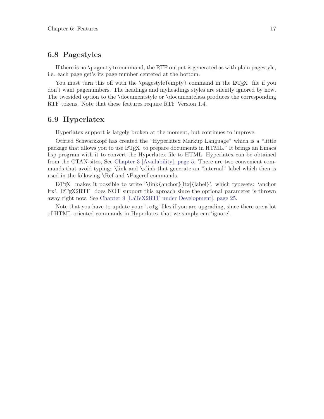### <span id="page-18-0"></span>6.8 Pagestyles

If there is no \pagestyle command, the RTF output is generated as with plain pagestyle, i.e. each page get's its page number centered at the bottom.

You must turn this off with the \pagestyle{empty} command in the LAT<sub>EX</sub> file if you don't want pagenumbers. The headings and myheadings styles are silently ignored by now. The twosided option to the \documentstyle or \documentclass produces the corresponding RTF tokens. Note that these features require RTF Version 1.4.

#### 6.9 Hyperlatex

Hyperlatex support is largely broken at the moment, but continues to improve.

Otfried Schwarzkopf has created the "Hyperlatex Markup Language" which is a "little package that allows you to use LAT<sub>EX</sub> to prepare documents in HTML." It brings an Emacs lisp program with it to convert the Hyperlatex file to HTML. Hyperlatex can be obtained from the CTAN-sites, See [Chapter 3 \[Availability\], page 5.](#page-6-0) There are two convenient commands that avoid typing: \link and \xlink that generate an "internal" label which then is used in the following \Ref and \Pageref commands.

<sup>L</sup>aTEX makes it possible to write '\link{anchor}[ltx]{label}', which typesets: 'anchor ltx'. LaTEX2RTF does NOT support this aproach since the optional parameter is thrown away right now, See [Chapter 9 \[LaTeX2RTF under Development\], page 25.](#page-26-3)

Note that you have to update your '.cfg' files if you are upgrading, since there are a lot of HTML oriented commands in Hyperlatex that we simply can 'ignore'.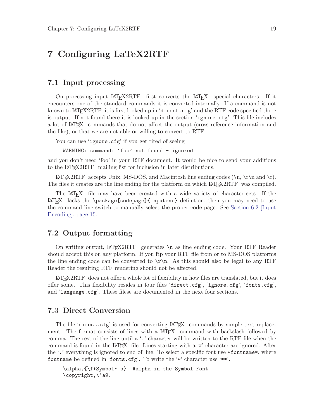## <span id="page-20-1"></span>7 Configuring LaTeX2RTF

#### <span id="page-20-0"></span>7.1 Input processing

On processing input LATEX2RTF first converts the LATEX special characters. If it encounters one of the standard commands it is converted internally. If a command is not known to LAT<sub>E</sub>X2RTF it is first looked up in 'direct.cfg' and the RTF code specified there is output. If not found there it is looked up in the section 'ignore.cfg'. This file includes a lot of LAT<sub>EX</sub> commands that do not affect the output (cross reference information and the like), or that we are not able or willing to convert to RTF.

```
You can use 'ignore.cfg' if you get tired of seeing
```
WARNING: command: 'foo' not found - ignored

and you don't need 'foo' in your RTF document. It would be nice to send your additions to the IAT<sub>F</sub>X2RTF mailing list for inclusion in later distributions.

<sup>L</sup>aTEX2RTF accepts Unix, MS-DOS, and Macintosh line ending codes (\n, \r\n and \r). The files it creates are the line ending for the platform on which LAT<sub>E</sub>X2RTF was compiled.

The LAT<sub>EX</sub> file may have been created with a wide variety of character sets. If the <sup>L</sup>aTEX lacks the \package[codepage]{inputenc} definition, then you may need to use the command line switch to manually select the proper code page. See [Section 6.2 \[Input](#page-16-0) [Encoding\], page 15.](#page-16-0)

#### 7.2 Output formatting

On writing output, LAT<sub>EX2RTF</sub> generates \n as line ending code. Your RTF Reader should accept this on any platform. If you ftp your RTF file from or to MS-DOS platforms the line ending code can be converted to  $\mathcal{r}\$ n. As this should also be legal to any RTF Reader the resulting RTF rendering should not be affected.

<sup>L</sup>aTEX2RTF does not offer a whole lot of flexibility in how files are translated, but it does offer some. This flexibility resides in four files 'direct.cfg', 'ignore.cfg', 'fonts.cfg', and 'language.cfg'. These filese are documented in the next four sections.

#### 7.3 Direct Conversion

The file 'direct.cfg' is used for converting  $\mathbb{A}T\mathbb{R}X$  commands by simple text replacement. The format consists of lines with a LAT<sub>EX</sub> command with backslash followed by comma. The rest of the line until a '.' character will be written to the RTF file when the command is found in the  $\Delta T_{\rm F}X$  file. Lines starting with a '#' character are ignored. After the '.' everything is ignored to end of line. To select a specific font use \*fontname\*, where fontname be defined in 'fonts.cfg'. To write the '\*' character use '\*\*'.

\alpha,{\f\*Symbol\* a}. #alpha in the Symbol Font \copyright,\'a9.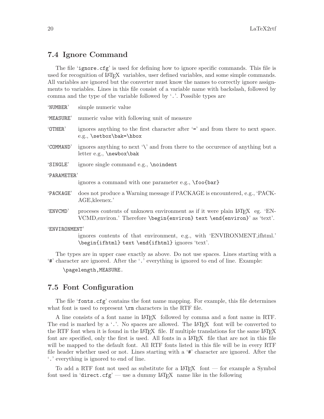#### <span id="page-21-2"></span>7.4 Ignore Command

<span id="page-21-1"></span>The file 'ignore.cfg' is used for defining how to ignore specific commands. This file is used for recognition of LAT<sub>EX</sub> variables, user defined variables, and some simple commands. All variables are ignored but the converter must know the names to correctly ignore assignments to variables. Lines in this file consist of a variable name with backslash, followed by comma and the type of the variable followed by '.'. Possible types are

| 'NUMBER'    | simple numeric value                                                                                                                                                  |  |  |  |
|-------------|-----------------------------------------------------------------------------------------------------------------------------------------------------------------------|--|--|--|
| 'MEASURE'   | numeric value with following unit of measure                                                                                                                          |  |  |  |
| 'OTHER'     | ignores anything to the first character after '=' and from there to next space.<br>e.g., \setbox\bak=\hbox                                                            |  |  |  |
| 'COMMAND'   | ignores anything to next $\forall$ and from there to the occurence of anything but a<br>$letter e.g., \newbox\bak$                                                    |  |  |  |
| 'SINGLE'    | ignore single command e.g., \noindent                                                                                                                                 |  |  |  |
| 'PARAMETER' |                                                                                                                                                                       |  |  |  |
|             | ignores a command with one parameter e.g., \foo{bar}                                                                                                                  |  |  |  |
| 'PACKAGE'   | does not produce a Warning message if PACKAGE is encountered, e.g., 'PACK-<br>AGE, kleenex.'                                                                          |  |  |  |
| 'ENVCMD'    | processes contents of unknown environment as if it were plain LAT <sub>F</sub> X eg. 'EN-<br>VCMD, environ.' Therefore \begin{environ} text \end{environ}' as 'text'. |  |  |  |
|             |                                                                                                                                                                       |  |  |  |

'ENVIRONMENT'

ignores contents of that environment, e.g., with 'ENVIRONMENT,ifhtml.' \begin{ifhtml} text \end{ifhtml} ignores 'text'.

The types are in upper case exactly as above. Do not use spaces. Lines starting with a '#' character are ignored. After the '.' everything is ignored to end of line. Example:

\pagelength,MEASURE.

### 7.5 Font Configuration

<span id="page-21-0"></span>The file 'fonts.cfg' contains the font name mapping. For example, this file determines what font is used to represent  $\rm \Gamma$  characters in the RTF file.

A line consists of a font name in LaTEX followed by comma and a font name in RTF. The end is marked by a  $\cdot$ .'. No spaces are allowed. The LAT<sub>EX</sub> font will be converted to the RTF font when it is found in the LAT<sub>EX</sub> file. If multiple translations for the same LAT<sub>EX</sub> font are specified, only the first is used. All fonts in a LAT<sub>E</sub>X file that are not in this file will be mapped to the default font. All RTF fonts listed in this file will be in every RTF file header whether used or not. Lines starting with a '#' character are ignored. After the '.' everything is ignored to end of line.

To add a RTF font not used as substitute for a  $\mathbb{F}$ F<sub>EX</sub> font — for example a Symbol font used in 'direct.cfg' — use a dummy  $\text{Lip}X$  name like in the following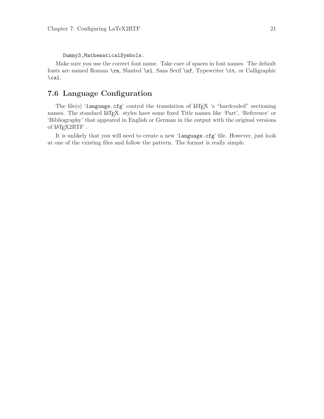<span id="page-22-1"></span>Dummy3,MathematicalSymbols.

Make sure you use the correct font name. Take care of spaces in font names. The default fonts are named Roman \rm, Slanted \sl, Sans Serif \sf, Typewriter \tt, or Calligraphic \cal.

### 7.6 Language Configuration

<span id="page-22-0"></span>The file(s) 'language.cfg' control the translation of LAT<sub>E</sub>X 's "hardcoded" sectioning names. The standard IATEX styles have some fixed Title names like 'Part', 'Reference' or 'Bibliography' that appeared in English or German in the output with the original versions of LAT<sub>E</sub>X2RTF.

It is unlikely that you will need to create a new 'language.cfg' file. However, just look at one of the existing files and follow the pattern. The format is really simple.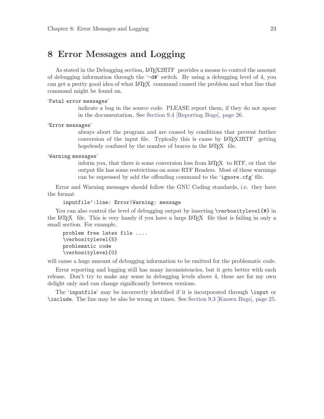## <span id="page-24-0"></span>8 Error Messages and Logging

As stated in the Debugging section, LAT<sub>EX</sub>2RTF provides a means to control the amount of debugging information through the  $-\frac{d\mathbf{H}'}{dt}$  switch. By using a debugging level of 4, you can get a pretty good idea of what LATEX command caused the problem and what line that command might be found on.

#### 'Fatal error messages'

indicate a bug in the source code. PLEASE report them, if they do not apear in the documentation. See [Section 9.4 \[Reporting Bugs\], page 26](#page-27-0).

#### 'Error messages'

always abort the program and are caused by conditions that prevent further conversion of the input file. Typically this is cause by  $\text{LATF}$  $\chi$  2RTF getting hopelessly confused by the number of braces in the LAT<sub>EX</sub> file.

#### 'Warning messages'

inform you, that there is some conversion loss from LAT<sub>EX</sub> to RTF, or that the output file has some restrictions on some RTF Readers. Most of these warnings can be supressed by add the offending command to the 'ignore.cfg' file.

Error and Warning messages should follow the GNU Coding standards, i.e. they have the format

#### inputfile':line: Error|Warning: message

You can also control the level of debugging output by inserting \verbositylevel{#} in the LAT<sub>EX</sub> file. This is very handy if you have a large LAT<sub>EX</sub> file that is failing in only a small section. For example,

```
problem free latex file ....
\verbositylevel{5}
problematic code
\verbositylevel{0}
```
will cause a huge amount of debugging information to be emitted for the problematic code.

Error reporting and logging still has many inconsistencies, but it gets better with each release. Don't try to make any sense in debugging levels above 4, these are for my own delight only and can change significantly between versions.

The 'inputfile' may be incorrectly identified if it is incorporated through \input or \include. The line may be also be wrong at times. See [Section 9.3 \[Known Bugs\], page 25.](#page-26-1)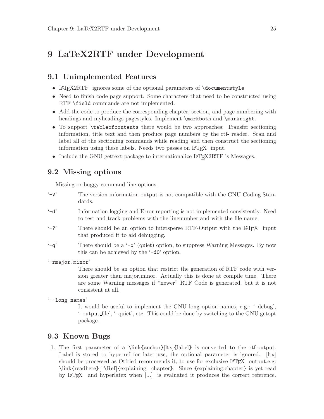## <span id="page-26-4"></span>9 LaTeX2RTF under Development

### <span id="page-26-3"></span>9.1 Unimplemented Features

- <span id="page-26-0"></span>• LAT<sub>EX2</sub>RTF ignores some of the optional parameters of \documentstyle
- Need to finish code page support. Some characters that need to be constructed using RTF \field commands are not implemented.
- Add the code to produce the corresponding chapter, section, and page numbering with headings and myheadings pagestyles. Implement \markboth and \markright.
- To support \tableofcontents there would be two approaches: Transfer sectioning information, title text and then produce page numbers by the rtf- reader. Scan and label all of the sectioning commands while reading and then construct the sectioning information using these labels. Needs two passes on LAT<sub>E</sub>X input.
- Include the GNU gettext package to internationalize LAT<sub>E</sub>X2RTF 's Messages.

#### 9.2 Missing options

<span id="page-26-2"></span>Missing or buggy command line options.

- '-V' The version information output is not compatible with the GNU Coding Standards. '-d' Information logging and Error reporting is not implemented consistently. Need
- to test and track problems with the linenumber and with the file name.
- $\langle -? \rangle$  There should be an option to intersperse RTF-Output with the LAT<sub>EX</sub> input that produced it to aid debugging.
- '-q' There should be a '-q' (quiet) option, to suppress Warning Messages. By now this can be achieved by the '-d0' option.

'-rmajor.minor'

There should be an option that restrict the generation of RTF code with version greater than major,minor. Actually this is done at compile time. There are some Warning messages if "newer" RTF Code is generated, but it is not consistent at all.

```
'--long_names'
```
It would be useful to implement the GNU long option names, e.g.: '–debug', '–output file', '–quiet', etc. This could be done by switching to the GNU getopt package.

#### 9.3 Known Bugs

<span id="page-26-1"></span>1. The first parameter of a \link{anchor}[ltx]{label} is converted to the rtf-output. Label is stored to hyperref for later use, the optional parameter is ignored. [ltx] should be processed as Otfried recommends it, to use for exclusive  $\mathbb{L}T_{\text{FX}}$  output.e.g: \link{readhere}[~\Ref]{explaining: chapter}. Since {explaining:chapter} is yet read by LaTEX and hyperlatex when [...] is evaluated it produces the correct reference.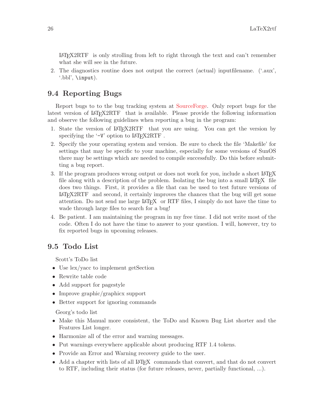<span id="page-27-1"></span><sup>L</sup>aTEX2RTF is only strolling from left to right through the text and can't remember what she will see in the future.

2. The diagnostics routine does not output the correct (actual) inputfilename. ('.aux', '.bbl', \input).

### 9.4 Reporting Bugs

<span id="page-27-0"></span>Report bugs to to the bug tracking system at [SourceForge](http://sourceforge.net/projects/latex2rtf/). Only report bugs for the latest version of LAT<sub>EX2</sub>RTF that is available. Please provide the following information and observe the following guidelines when reporting a bug in the program:

- 1. State the version of LAT<sub>E</sub>X2RTF that you are using. You can get the version by specifying the  $\div V$  option to  $\angle M$ <sub>F</sub>X2RTF.
- 2. Specify the your operating system and version. Be sure to check the file 'Makefile' for settings that may be specific to your machine, especially for some versions of SunOS there may be settings which are needed to compile successfully. Do this before submitting a bug report.
- 3. If the program produces wrong output or does not work for you, include a short LAT<sub>EX</sub> file along with a description of the problem. Isolating the bug into a small  $\text{LATEX}$  file does two things. First, it provides a file that can be used to test future versions of <sup>L</sup>aTEX2RTF and second, it certainly improves the chances that the bug will get some attention. Do not send me large LAT<sub>EX</sub> or RTF files, I simply do not have the time to wade through large files to search for a bug!
- 4. Be patient. I am maintaining the program in my free time. I did not write most of the code. Often I do not have the time to answer to your question. I will, however, try to fix reported bugs in upcoming releases.

### 9.5 Todo List

Scott's ToDo list

- Use  $lex/year$  to implement getSection
- Rewrite table code
- Add support for pagestyle
- Improve graphic/graphicx support
- Better support for ignoring commands

Georg's todo list

- Make this Manual more consistent, the ToDo and Known Bug List shorter and the Features List longer.
- Harmonize all of the error and warning messages.
- Put warnings everywhere applicable about producing RTF 1.4 tokens.
- Provide an Error and Warning recovery guide to the user.
- Add a chapter with lists of all LAT<sub>EX</sub> commands that convert, and that do not convert to RTF, including their status (for future releases, never, partially functional, ...).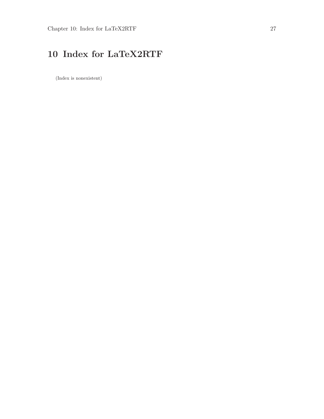# <span id="page-28-0"></span>10 Index for LaTeX2RTF

(Index is nonexistent)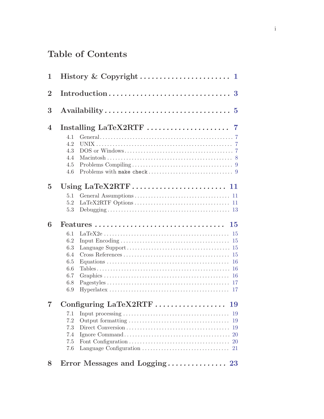# Table of Contents

| 1              |     |                                                                                    |
|----------------|-----|------------------------------------------------------------------------------------|
| $\overline{2}$ |     |                                                                                    |
| 3              |     |                                                                                    |
| 4              |     |                                                                                    |
|                | 4.1 |                                                                                    |
|                | 4.2 |                                                                                    |
|                | 4.3 |                                                                                    |
|                | 4.4 |                                                                                    |
|                | 4.5 |                                                                                    |
|                | 4.6 |                                                                                    |
| $\overline{5}$ |     |                                                                                    |
|                | 5.1 |                                                                                    |
|                | 5.2 |                                                                                    |
|                | 5.3 |                                                                                    |
| 6              |     | $Features \dots \dots \dots \dots \dots \dots \dots \dots \dots \dots \dots$<br>15 |
|                |     |                                                                                    |
|                | 6.1 | 15                                                                                 |
|                | 6.2 |                                                                                    |
|                | 6.3 |                                                                                    |
|                | 6.4 |                                                                                    |
|                | 6.5 |                                                                                    |
|                | 6.6 |                                                                                    |
|                | 6.7 |                                                                                    |
|                | 6.8 |                                                                                    |
|                | 6.9 |                                                                                    |
|                |     | Configuring LaTeX2RTF  19                                                          |
|                | 7.1 | 19                                                                                 |
|                | 7.2 | 19                                                                                 |
|                | 7.3 | 19                                                                                 |
|                | 7.4 | <b>20</b>                                                                          |
|                | 7.5 | <b>20</b>                                                                          |
|                | 7.6 |                                                                                    |